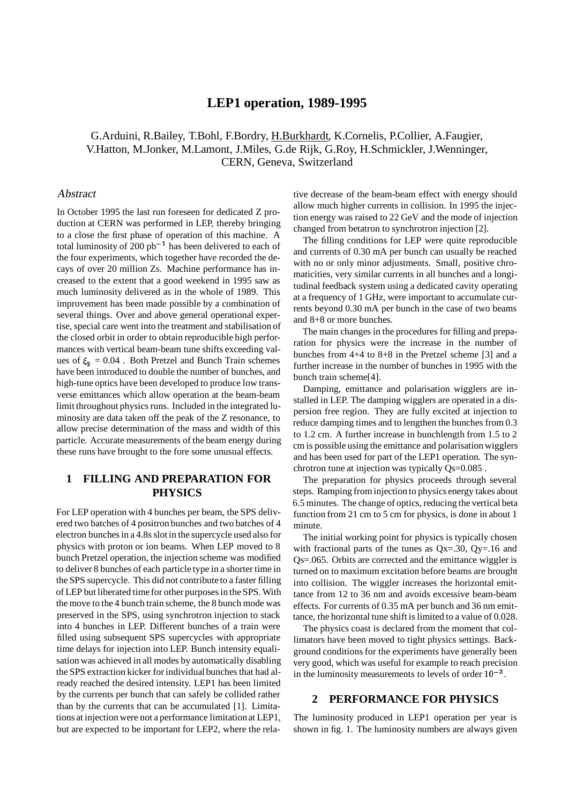# **LEP1 operation, 1989-1995**

G.Arduini, R.Bailey, T.Bohl, F.Bordry, H.Burkhardt, K.Cornelis, P.Collier, A.Faugier, V.Hatton, M.Jonker, M.Lamont, J.Miles, G.de Rijk, G.Roy, H.Schmickler, J.Wenninger, CERN, Geneva, Switzerland

#### Abstract

In October 1995 the last run foreseen for dedicated Z production at CERN was performed in LEP, thereby bringing to a close the first phase of operation of this machine. A total luminosity of 200  $pb^{-1}$  has been delivered to each of the four experiments, which together have recorded the decays of over 20 million Zs. Machine performance has increased to the extent that a good weekend in 1995 saw as much luminosity delivered as in the whole of 1989. This improvement has been made possible by a combination of several things. Over and above general operational expertise, special care went into the treatment and stabilisation of the closed orbit in order to obtain reproducible high performances with vertical beam-beam tune shifts exceeding values of  $\xi_u = 0.04$ . Both Pretzel and Bunch Train schemes have been introduced to double the number of bunches, and high-tune optics have been developed to produce low transverse emittances which allow operation at the beam-beam limit throughout physics runs. Included in the integrated luminosity are data taken off the peak of the Z resonance, to allow precise determination of the mass and width of this particle. Accurate measurements of the beam energy during these runs have brought to the fore some unusual effects.

## **1 FILLING AND PREPARATION FOR PHYSICS**

For LEP operation with 4 bunches per beam, the SPS delivered two batches of 4 positron bunches and two batches of 4 electron bunches in a 4.8s slot in the supercycle used also for physics with proton or ion beams. When LEP moved to 8 bunch Pretzel operation, the injection scheme was modified to deliver 8 bunches of each particle type in a shorter time in the SPS supercycle. This did not contribute to a faster filling of LEP but liberated time for other purposes in the SPS. With the move to the 4 bunch train scheme, the 8 bunch mode was preserved in the SPS, using synchrotron injection to stack into 4 bunches in LEP. Different bunches of a train were filled using subsequent SPS supercycles with appropriate time delays for injection into LEP. Bunch intensity equalisation was achieved in all modes by automatically disabling the SPS extraction kicker for individual bunches that had already reached the desired intensity. LEP1 has been limited by the currents per bunch that can safely be collided rather than by the currents that can be accumulated [1]. Limitations at injection were not a performance limitationat LEP1, but are expected to be important for LEP2, where the rela-

tive decrease of the beam-beam effect with energy should allow much higher currents in collision. In 1995 the injection energy was raised to 22 GeV and the mode of injection changed from betatron to synchrotron injection [2].

The filling conditions for LEP were quite reproducible and currents of 0.30 mA per bunch can usually be reached with no or only minor adjustments. Small, positive chromaticities, very similar currents in all bunches and a longitudinal feedback system using a dedicated cavity operating at a frequency of 1 GHz, were important to accumulate currents beyond 0.30 mA per bunch in the case of two beams and 8+8 or more bunches.

The main changes in the procedures for filling and preparation for physics were the increase in the number of bunches from 4+4 to 8+8 in the Pretzel scheme [3] and a further increase in the number of bunches in 1995 with the bunch train scheme[4].

Damping, emittance and polarisation wigglers are installed in LEP. The damping wigglers are operated in a dispersion free region. They are fully excited at injection to reduce damping times and to lengthen the bunches from 0.3 to 1.2 cm. A further increase in bunchlength from 1.5 to 2 cm is possible using the emittance and polarisation wigglers and has been used for part of the LEP1 operation. The synchrotron tune at injection was typically Qs=0.085 .

The preparation for physics proceeds through several steps. Ramping from injection to physics energy takes about 6.5 minutes. The change of optics, reducing the vertical beta function from 21 cm to 5 cm for physics, is done in about 1 minute.

The initial working point for physics is typically chosen with fractional parts of the tunes as  $Qx = .30$ ,  $Qy = .16$  and Qs=.065. Orbits are corrected and the emittance wiggler is turned on to maximum excitation before beams are brought into collision. The wiggler increases the horizontal emittance from 12 to 36 nm and avoids excessive beam-beam effects. For currents of 0.35 mA per bunch and 36 nm emittance, the horizontal tune shift is limited to a value of 0.028.

The physics coast is declared from the moment that collimators have been moved to tight physics settings. Background conditions for the experiments have generally been very good, which was useful for example to reach precision in the luminosity measurements to levels of order  $10^{-3}$ .

#### **2 PERFORMANCE FOR PHYSICS**

The luminosity produced in LEP1 operation per year is shown in fig. 1. The luminosity numbers are always given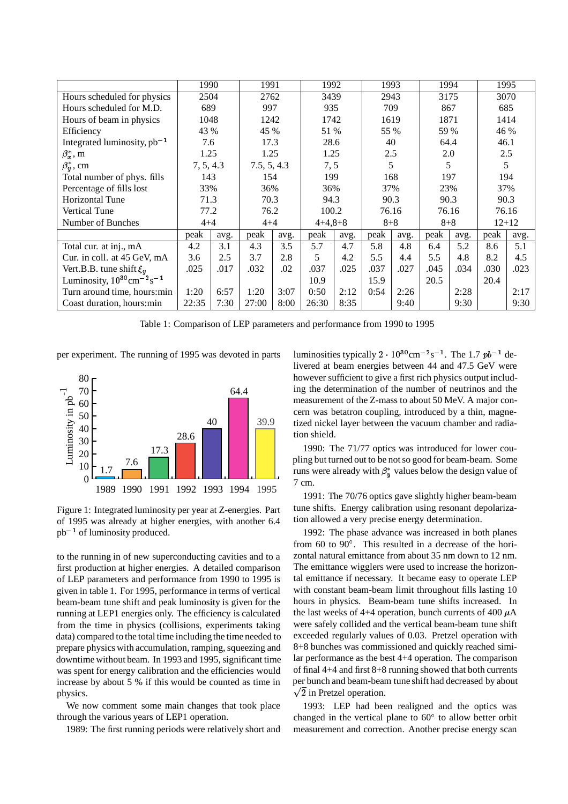|                                                                                  | 1990      |      | 1991        |      | 1992      |      | 1993    |      | 1994    |      | 1995      |      |  |
|----------------------------------------------------------------------------------|-----------|------|-------------|------|-----------|------|---------|------|---------|------|-----------|------|--|
| Hours scheduled for physics                                                      | 2504      |      | 2762        |      | 3439      |      | 2943    |      | 3175    |      | 3070      |      |  |
| Hours scheduled for M.D.                                                         | 689       |      | 997         |      | 935       |      | 709     |      | 867     |      | 685       |      |  |
| Hours of beam in physics                                                         | 1048      |      | 1242        |      | 1742      |      | 1619    |      | 1871    |      | 1414      |      |  |
| Efficiency                                                                       | 43 %      |      | 45 %        |      | 51 %      |      | 55 %    |      | 59 %    |      | 46 %      |      |  |
| Integrated luminosity, $pb^{-1}$                                                 | 7.6       |      | 17.3        |      | 28.6      |      | 40      |      | 64.4    |      | 46.1      |      |  |
| $\beta_r^*$ , m                                                                  | 1.25      |      | 1.25        |      | 1.25      |      | 2.5     |      | 2.0     |      | 2.5       |      |  |
| $\beta_u^*$ , cm                                                                 | 7, 5, 4.3 |      | 7.5, 5, 4.3 |      | 7, 5      |      | 5       |      | 5       |      | 5         |      |  |
| Total number of phys. fills                                                      | 143       |      | 154         |      |           | 199  |         | 168  |         | 197  |           | 194  |  |
| Percentage of fills lost                                                         | 33%       |      | 36%         |      | 36%       |      | 37%     |      | 23%     |      | 37%       |      |  |
| <b>Horizontal Tune</b>                                                           | 71.3      |      | 70.3        |      | 94.3      |      | 90.3    |      | 90.3    |      | 90.3      |      |  |
| <b>Vertical Tune</b>                                                             | 77.2      |      | 76.2        |      | 100.2     |      | 76.16   |      | 76.16   |      | 76.16     |      |  |
| Number of Bunches                                                                | $4 + 4$   |      | $4 + 4$     |      | $4+4,8+8$ |      | $8 + 8$ |      | $8 + 8$ |      | $12 + 12$ |      |  |
|                                                                                  | peak      | avg. | peak        | avg. | peak      | avg. | peak    | avg. | peak    | avg. | peak      | avg. |  |
| Total cur. at inj., mA                                                           | 4.2       | 3.1  | 4.3         | 3.5  | 5.7       | 4.7  | 5.8     | 4.8  | 6.4     | 5.2  | 8.6       | 5.1  |  |
| Cur. in coll. at 45 GeV, mA                                                      | 3.6       | 2.5  | 3.7         | 2.8  | 5.        | 4.2  | 5.5     | 4.4  | 5.5     | 4.8  | 8.2       | 4.5  |  |
| Vert.B.B. tune shift $\xi_u$                                                     | .025      | .017 | .032        | .02  | .037      | .025 | .037    | .027 | .045    | .034 | .030      | .023 |  |
| Luminosity, $10^{30}$ cm <sup><math>-2</math></sup> s <sup><math>-1</math></sup> |           |      |             |      | 10.9      |      | 15.9    |      | 20.5    |      | 20.4      |      |  |
| Turn around time, hours: min                                                     | 1:20      | 6:57 | 1:20        | 3:07 | 0:50      | 2:12 | 0:54    | 2:26 |         | 2:28 |           | 2:17 |  |
| Coast duration, hours:min                                                        | 22:35     | 7:30 | 27:00       | 8:00 | 26:30     | 8:35 |         | 9:40 |         | 9:30 |           | 9:30 |  |

Table 1: Comparison of LEP parameters and performance from 1990 to 1995

per experiment. The running of 1995 was devoted in parts



Figure 1: Integrated luminosity per year at Z-energies. Part of 1995 was already at higher energies, with another 6.4  $pb^{-1}$  of luminosity produced.

to the running in of new superconducting cavities and to a first production at higher energies. A detailed comparison of LEP parameters and performance from 1990 to 1995 is given in table 1. For 1995, performance in terms of vertical beam-beam tune shift and peak luminosity is given for the running at LEP1 energies only. The efficiency is calculated from the time in physics (collisions, experiments taking data) compared to the total time including the time needed to prepare physics with accumulation, ramping, squeezing and downtime without beam. In 1993 and 1995, significant time was spent for energy calibration and the efficiencies would increase by about 5 % if this would be counted as time in physics.

We now comment some main changes that took place through the various years of LEP1 operation.

1989: The first running periods were relatively short and

luminosities typically  $2 \cdot 10^{30}$ cm<sup>-2</sup>s<sup>-1</sup>. The 1.7  $pb^{-1}$  delivered at beam energies between 44 and 47.5 GeV were however sufficient to give a first rich physics output including the determination of the number of neutrinos and the measurement of the Z-mass to about 50 MeV. A major concern was betatron coupling, introduced by a thin, magnetized nickel layer between the vacuum chamber and radiation shield.

1990: The 71/77 optics was introduced for lower coupling but turned out to be not so good for beam-beam. Some runs were already with  $\beta_n^*$  values below the design value of 7 cm.

1991: The 70/76 optics gave slightly higher beam-beam tune shifts. Energy calibration using resonant depolarization allowed a very precise energy determination.

1992: The phase advance was increased in both planes from 60 to 90 . This resulted in a decrease of the horizontal natural emittance from about 35 nm down to 12 nm. The emittance wigglers were used to increase the horizontal emittance if necessary. It became easy to operate LEP with constant beam-beam limit throughout fills lasting 10 hours in physics. Beam-beam tune shifts increased. In the last weeks of 4+4 operation, bunch currents of 400  $\mu$ A were safely collided and the vertical beam-beam tune shift exceeded regularly values of 0.03. Pretzel operation with 8+8 bunches was commissioned and quickly reached similar performance as the best 4+4 operation. The comparison of final 4+4 and first 8+8 running showed that both currents per bunch and beam-beam tune shift had decreased by about  $\sqrt{2}$  in Pretzel operation.

1993: LEP had been realigned and the optics was changed in the vertical plane to  $60^{\circ}$  to allow better orbit measurement and correction. Another precise energy scan